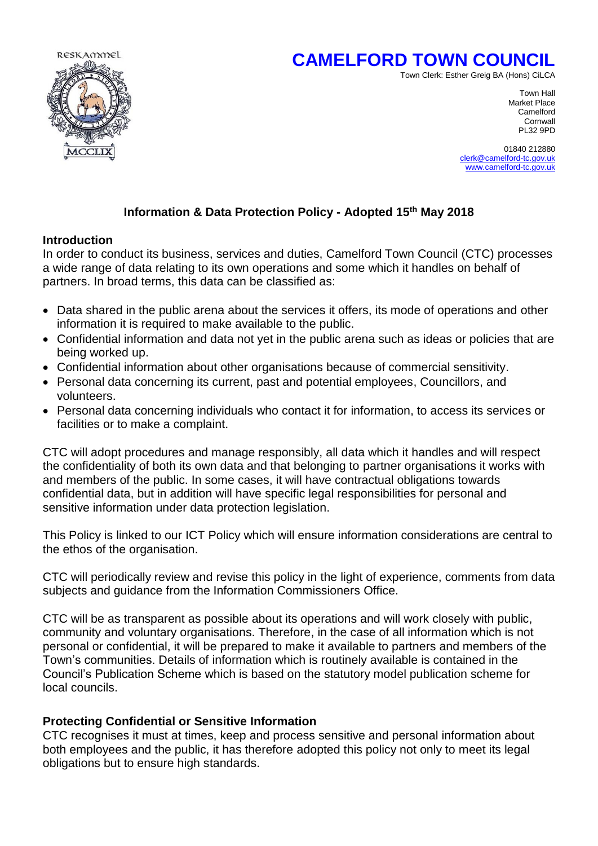



Town Clerk: Esther Greig BA (Hons) CiLCA

Town Hall Market Place<br>Camelford camelford in the control of the control of the control of the control of the control of the control of the control of the control of the control of the control of the control of the control of the control of the control of Cornwall<br>PL32 9PD PL32 9PD

> 01840 212880 [clerk@camelford-tc.gov.uk](mailto:clerk@camelford-tc.gov.uk) [www.camelford-tc.gov.uk](http://www.camelfordtown.net/)

# **Information & Data Protection Policy - Adopted 15th May 2018**

### **Introduction**

In order to conduct its business, services and duties, Camelford Town Council (CTC) processes a wide range of data relating to its own operations and some which it handles on behalf of partners. In broad terms, this data can be classified as:

- Data shared in the public arena about the services it offers, its mode of operations and other information it is required to make available to the public.
- Confidential information and data not yet in the public arena such as ideas or policies that are being worked up.
- Confidential information about other organisations because of commercial sensitivity.
- Personal data concerning its current, past and potential employees, Councillors, and volunteers.
- Personal data concerning individuals who contact it for information, to access its services or facilities or to make a complaint.

CTC will adopt procedures and manage responsibly, all data which it handles and will respect the confidentiality of both its own data and that belonging to partner organisations it works with and members of the public. In some cases, it will have contractual obligations towards confidential data, but in addition will have specific legal responsibilities for personal and sensitive information under data protection legislation.

This Policy is linked to our ICT Policy which will ensure information considerations are central to the ethos of the organisation.

CTC will periodically review and revise this policy in the light of experience, comments from data subjects and guidance from the Information Commissioners Office.

CTC will be as transparent as possible about its operations and will work closely with public, community and voluntary organisations. Therefore, in the case of all information which is not personal or confidential, it will be prepared to make it available to partners and members of the Town's communities. Details of information which is routinely available is contained in the Council's Publication Scheme which is based on the statutory model publication scheme for local councils.

## **Protecting Confidential or Sensitive Information**

CTC recognises it must at times, keep and process sensitive and personal information about both employees and the public, it has therefore adopted this policy not only to meet its legal obligations but to ensure high standards.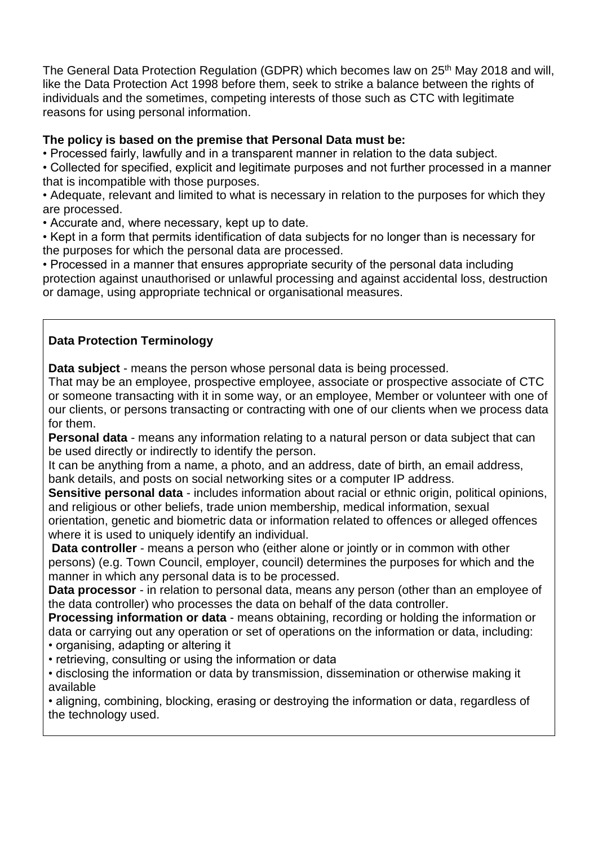The General Data Protection Regulation (GDPR) which becomes law on 25<sup>th</sup> May 2018 and will, like the Data Protection Act 1998 before them, seek to strike a balance between the rights of individuals and the sometimes, competing interests of those such as CTC with legitimate reasons for using personal information.

## **The policy is based on the premise that Personal Data must be:**

• Processed fairly, lawfully and in a transparent manner in relation to the data subject.

• Collected for specified, explicit and legitimate purposes and not further processed in a manner that is incompatible with those purposes.

• Adequate, relevant and limited to what is necessary in relation to the purposes for which they are processed.

• Accurate and, where necessary, kept up to date.

• Kept in a form that permits identification of data subjects for no longer than is necessary for the purposes for which the personal data are processed.

• Processed in a manner that ensures appropriate security of the personal data including protection against unauthorised or unlawful processing and against accidental loss, destruction or damage, using appropriate technical or organisational measures.

# **Data Protection Terminology**

**Data subject** - means the person whose personal data is being processed.

That may be an employee, prospective employee, associate or prospective associate of CTC or someone transacting with it in some way, or an employee, Member or volunteer with one of our clients, or persons transacting or contracting with one of our clients when we process data for them.

**Personal data** - means any information relating to a natural person or data subject that can be used directly or indirectly to identify the person.

It can be anything from a name, a photo, and an address, date of birth, an email address, bank details, and posts on social networking sites or a computer IP address.

**Sensitive personal data** - includes information about racial or ethnic origin, political opinions, and religious or other beliefs, trade union membership, medical information, sexual

orientation, genetic and biometric data or information related to offences or alleged offences where it is used to uniquely identify an individual.

**Data controller** - means a person who (either alone or jointly or in common with other persons) (e.g. Town Council, employer, council) determines the purposes for which and the manner in which any personal data is to be processed.

**Data processor** - in relation to personal data, means any person (other than an employee of the data controller) who processes the data on behalf of the data controller.

**Processing information or data** - means obtaining, recording or holding the information or data or carrying out any operation or set of operations on the information or data, including: • organising, adapting or altering it

• retrieving, consulting or using the information or data

• disclosing the information or data by transmission, dissemination or otherwise making it available

• aligning, combining, blocking, erasing or destroying the information or data, regardless of the technology used.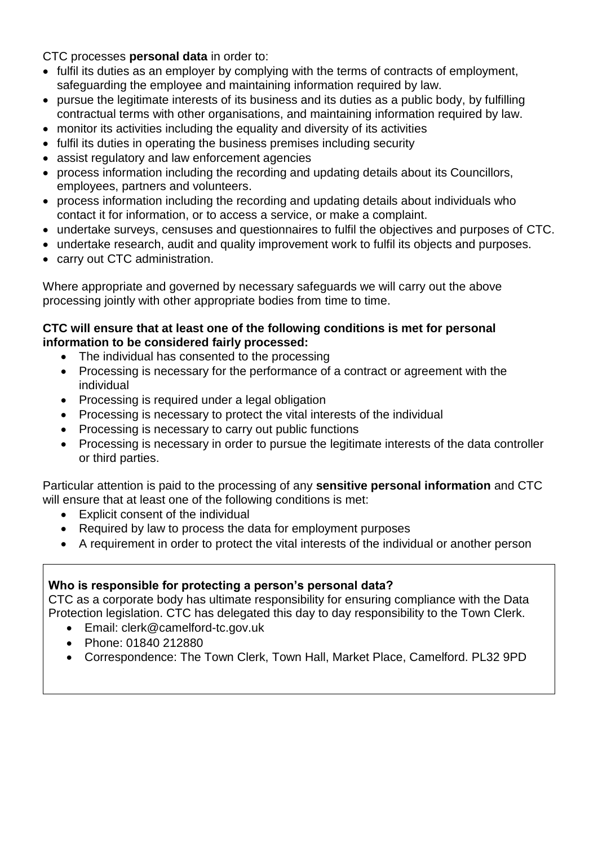CTC processes **personal data** in order to:

- fulfil its duties as an employer by complying with the terms of contracts of employment, safeguarding the employee and maintaining information required by law.
- pursue the legitimate interests of its business and its duties as a public body, by fulfilling contractual terms with other organisations, and maintaining information required by law.
- monitor its activities including the equality and diversity of its activities
- fulfil its duties in operating the business premises including security
- assist regulatory and law enforcement agencies
- process information including the recording and updating details about its Councillors, employees, partners and volunteers.
- process information including the recording and updating details about individuals who contact it for information, or to access a service, or make a complaint.
- undertake surveys, censuses and questionnaires to fulfil the objectives and purposes of CTC.
- undertake research, audit and quality improvement work to fulfil its objects and purposes.
- carry out CTC administration.

Where appropriate and governed by necessary safeguards we will carry out the above processing jointly with other appropriate bodies from time to time.

## **CTC will ensure that at least one of the following conditions is met for personal information to be considered fairly processed:**

- The individual has consented to the processing
- Processing is necessary for the performance of a contract or agreement with the individual
- Processing is required under a legal obligation
- Processing is necessary to protect the vital interests of the individual
- Processing is necessary to carry out public functions
- Processing is necessary in order to pursue the legitimate interests of the data controller or third parties.

Particular attention is paid to the processing of any **sensitive personal information** and CTC will ensure that at least one of the following conditions is met:

- Explicit consent of the individual
- Required by law to process the data for employment purposes
- A requirement in order to protect the vital interests of the individual or another person

# **Who is responsible for protecting a person's personal data?**

CTC as a corporate body has ultimate responsibility for ensuring compliance with the Data Protection legislation. CTC has delegated this day to day responsibility to the Town Clerk.

- Email: clerk@camelford-tc.gov.uk
- Phone: 01840 212880
- Correspondence: The Town Clerk, Town Hall, Market Place, Camelford. PL32 9PD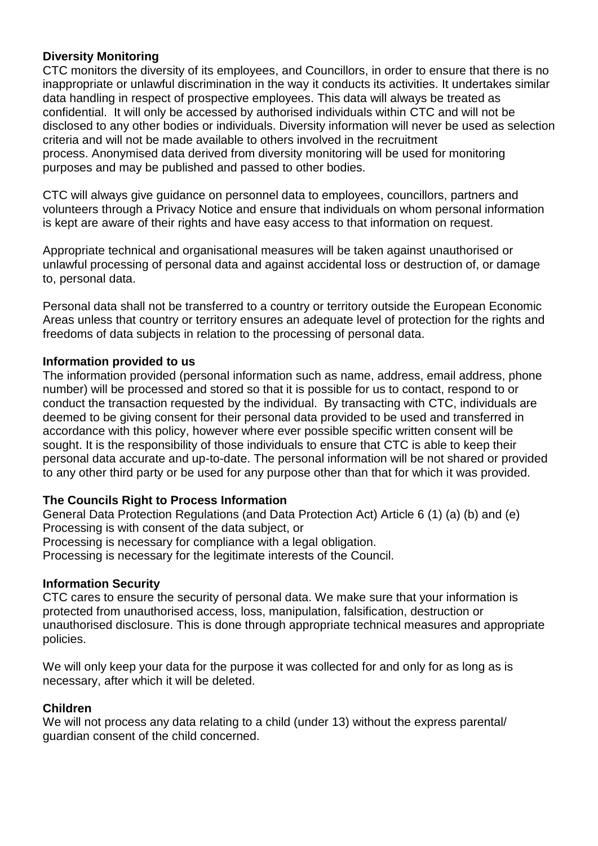### **Diversity Monitoring**

CTC monitors the diversity of its employees, and Councillors, in order to ensure that there is no inappropriate or unlawful discrimination in the way it conducts its activities. It undertakes similar data handling in respect of prospective employees. This data will always be treated as confidential. It will only be accessed by authorised individuals within CTC and will not be disclosed to any other bodies or individuals. Diversity information will never be used as selection criteria and will not be made available to others involved in the recruitment process. Anonymised data derived from diversity monitoring will be used for monitoring purposes and may be published and passed to other bodies.

CTC will always give guidance on personnel data to employees, councillors, partners and volunteers through a Privacy Notice and ensure that individuals on whom personal information is kept are aware of their rights and have easy access to that information on request.

Appropriate technical and organisational measures will be taken against unauthorised or unlawful processing of personal data and against accidental loss or destruction of, or damage to, personal data.

Personal data shall not be transferred to a country or territory outside the European Economic Areas unless that country or territory ensures an adequate level of protection for the rights and freedoms of data subjects in relation to the processing of personal data.

#### **Information provided to us**

The information provided (personal information such as name, address, email address, phone number) will be processed and stored so that it is possible for us to contact, respond to or conduct the transaction requested by the individual. By transacting with CTC, individuals are deemed to be giving consent for their personal data provided to be used and transferred in accordance with this policy, however where ever possible specific written consent will be sought. It is the responsibility of those individuals to ensure that CTC is able to keep their personal data accurate and up-to-date. The personal information will be not shared or provided to any other third party or be used for any purpose other than that for which it was provided.

#### **The Councils Right to Process Information**

General Data Protection Regulations (and Data Protection Act) Article 6 (1) (a) (b) and (e) Processing is with consent of the data subject, or Processing is necessary for compliance with a legal obligation. Processing is necessary for the legitimate interests of the Council.

#### **Information Security**

CTC cares to ensure the security of personal data. We make sure that your information is protected from unauthorised access, loss, manipulation, falsification, destruction or unauthorised disclosure. This is done through appropriate technical measures and appropriate policies.

We will only keep your data for the purpose it was collected for and only for as long as is necessary, after which it will be deleted.

#### **Children**

We will not process any data relating to a child (under 13) without the express parental/ guardian consent of the child concerned.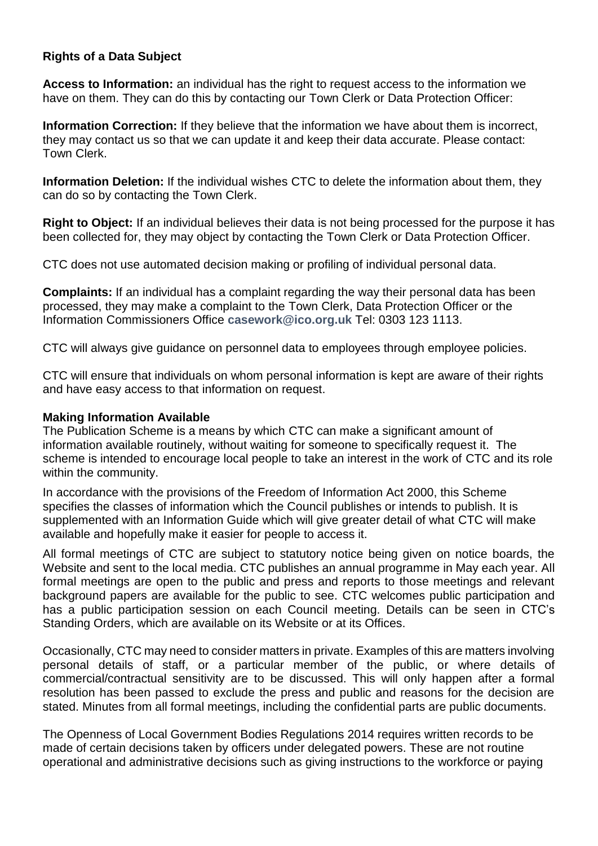## **Rights of a Data Subject**

**Access to Information:** an individual has the right to request access to the information we have on them. They can do this by contacting our Town Clerk or Data Protection Officer:

**Information Correction:** If they believe that the information we have about them is incorrect, they may contact us so that we can update it and keep their data accurate. Please contact: Town Clerk.

**Information Deletion:** If the individual wishes CTC to delete the information about them, they can do so by contacting the Town Clerk.

**Right to Object:** If an individual believes their data is not being processed for the purpose it has been collected for, they may object by contacting the Town Clerk or Data Protection Officer.

CTC does not use automated decision making or profiling of individual personal data.

**Complaints:** If an individual has a complaint regarding the way their personal data has been processed, they may make a complaint to the Town Clerk, Data Protection Officer or the Information Commissioners Office **[casework@ico.org.uk](mailto:casework@ico.org.uk)** Tel: 0303 123 1113.

CTC will always give guidance on personnel data to employees through employee policies.

CTC will ensure that individuals on whom personal information is kept are aware of their rights and have easy access to that information on request.

#### **Making Information Available**

The Publication Scheme is a means by which CTC can make a significant amount of information available routinely, without waiting for someone to specifically request it. The scheme is intended to encourage local people to take an interest in the work of CTC and its role within the community.

In accordance with the provisions of the Freedom of Information Act 2000, this Scheme specifies the classes of information which the Council publishes or intends to publish. It is supplemented with an Information Guide which will give greater detail of what CTC will make available and hopefully make it easier for people to access it.

All formal meetings of CTC are subject to statutory notice being given on notice boards, the Website and sent to the local media. CTC publishes an annual programme in May each year. All formal meetings are open to the public and press and reports to those meetings and relevant background papers are available for the public to see. CTC welcomes public participation and has a public participation session on each Council meeting. Details can be seen in CTC's Standing Orders, which are available on its Website or at its Offices.

Occasionally, CTC may need to consider matters in private. Examples of this are matters involving personal details of staff, or a particular member of the public, or where details of commercial/contractual sensitivity are to be discussed. This will only happen after a formal resolution has been passed to exclude the press and public and reasons for the decision are stated. Minutes from all formal meetings, including the confidential parts are public documents.

The Openness of Local Government Bodies Regulations 2014 requires written records to be made of certain decisions taken by officers under delegated powers. These are not routine operational and administrative decisions such as giving instructions to the workforce or paying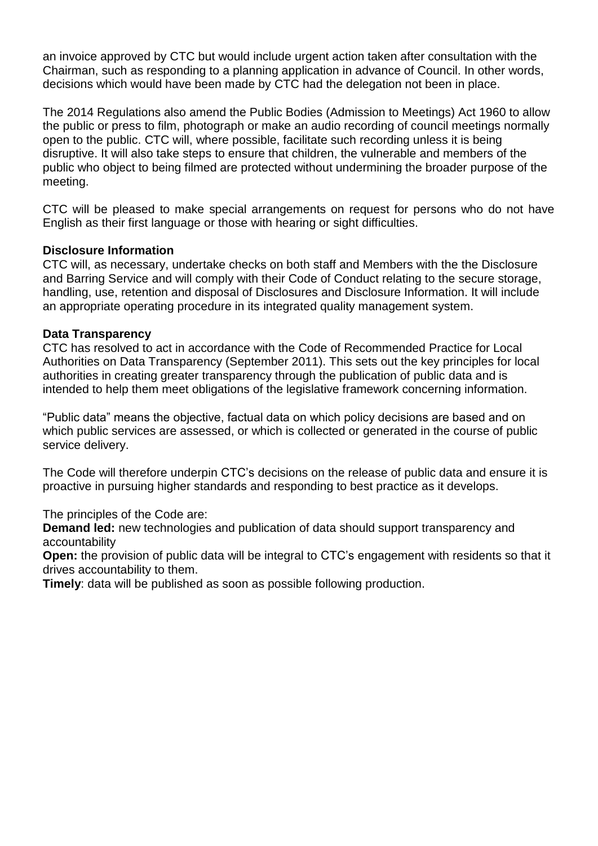an invoice approved by CTC but would include urgent action taken after consultation with the Chairman, such as responding to a planning application in advance of Council. In other words, decisions which would have been made by CTC had the delegation not been in place.

The 2014 Regulations also amend the Public Bodies (Admission to Meetings) Act 1960 to allow the public or press to film, photograph or make an audio recording of council meetings normally open to the public. CTC will, where possible, facilitate such recording unless it is being disruptive. It will also take steps to ensure that children, the vulnerable and members of the public who object to being filmed are protected without undermining the broader purpose of the meeting.

CTC will be pleased to make special arrangements on request for persons who do not have English as their first language or those with hearing or sight difficulties.

### **Disclosure Information**

CTC will, as necessary, undertake checks on both staff and Members with the the Disclosure and Barring Service and will comply with their Code of Conduct relating to the secure storage, handling, use, retention and disposal of Disclosures and Disclosure Information. It will include an appropriate operating procedure in its integrated quality management system.

### **Data Transparency**

CTC has resolved to act in accordance with the Code of Recommended Practice for Local Authorities on Data Transparency (September 2011). This sets out the key principles for local authorities in creating greater transparency through the publication of public data and is intended to help them meet obligations of the legislative framework concerning information.

"Public data" means the objective, factual data on which policy decisions are based and on which public services are assessed, or which is collected or generated in the course of public service delivery.

The Code will therefore underpin CTC's decisions on the release of public data and ensure it is proactive in pursuing higher standards and responding to best practice as it develops.

The principles of the Code are:

**Demand led:** new technologies and publication of data should support transparency and accountability

**Open:** the provision of public data will be integral to CTC's engagement with residents so that it drives accountability to them.

**Timely**: data will be published as soon as possible following production.